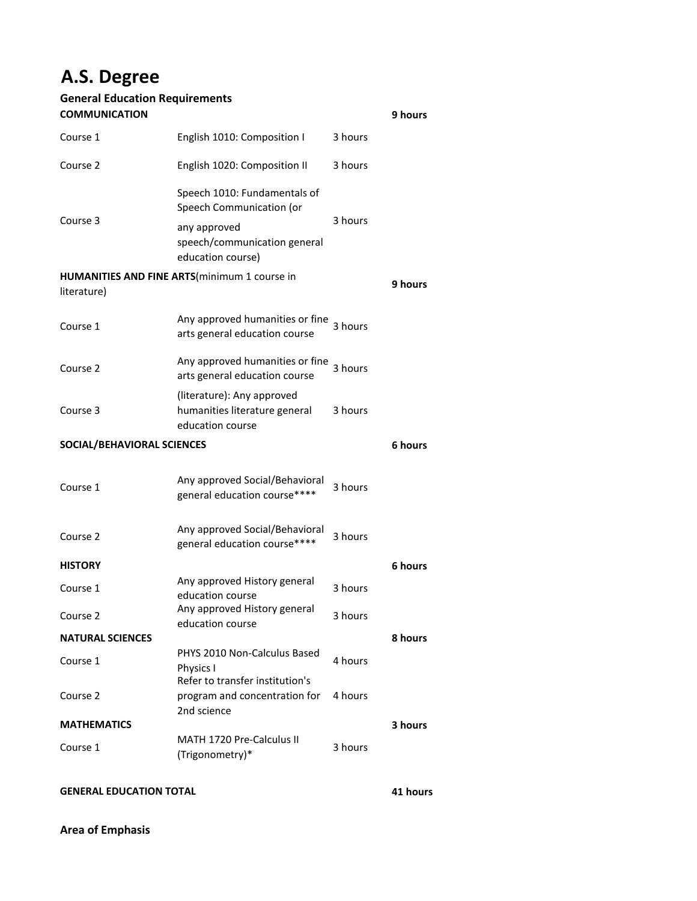## **A.S. Degree**

## **General Education Requirements COMMUNICATION**

| <b>COMMUNICATION</b>          |                                                                                 |         | 9 hours |  |
|-------------------------------|---------------------------------------------------------------------------------|---------|---------|--|
| Course 1                      | English 1010: Composition I                                                     | 3 hours |         |  |
| Course 2                      | English 1020: Composition II                                                    | 3 hours |         |  |
| Course 3                      | Speech 1010: Fundamentals of<br>Speech Communication (or                        |         |         |  |
|                               | any approved<br>speech/communication general<br>education course)               | 3 hours |         |  |
| literature)                   | <b>HUMANITIES AND FINE ARTS</b> (minimum 1 course in                            |         | 9 hours |  |
| Course 1                      | Any approved humanities or fine<br>arts general education course                | 3 hours |         |  |
| Course 2                      | Any approved humanities or fine<br>arts general education course                | 3 hours |         |  |
| Course 3                      | (literature): Any approved<br>humanities literature general<br>education course | 3 hours |         |  |
| SOCIAL/BEHAVIORAL SCIENCES    |                                                                                 |         |         |  |
| Course 1                      | Any approved Social/Behavioral<br>general education course****                  | 3 hours |         |  |
| Course 2                      | Any approved Social/Behavioral<br>general education course****                  | 3 hours |         |  |
| <b>HISTORY</b>                |                                                                                 |         | 6 hours |  |
| Course 1                      | Any approved History general<br>education course                                | 3 hours |         |  |
| Course 2                      | Any approved History general<br>education course                                | 3 hours |         |  |
| <b>NATURAL SCIENCES</b>       |                                                                                 |         | 8 hours |  |
| Course 1                      | PHYS 2010 Non-Calculus Based<br>Physics I<br>Refer to transfer institution's    | 4 hours |         |  |
| Course 2                      | program and concentration for<br>2nd science                                    | 4 hours |         |  |
| <b>MATHEMATICS</b><br>3 hours |                                                                                 |         |         |  |
| Course 1                      | <b>MATH 1720 Pre-Calculus II</b><br>(Trigonometry)*                             | 3 hours |         |  |
|                               |                                                                                 |         |         |  |

**GENERAL EDUCATION TOTAL 41 hours**

**Area of Emphasis**